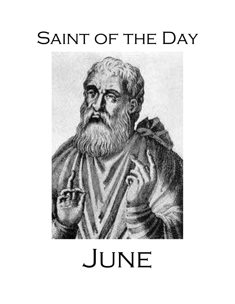# SAINT OF THE DAY



# JUNE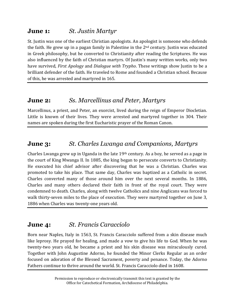#### **June 1:** *St. Justin Martyr*

St. Justin was one of the earliest Christian apologists. An apologist is someone who defends the faith. He grew up in a pagan family in Palestine in the  $2<sup>nd</sup>$  century. Justin was educated in Greek philosophy, but he converted to Christianity after reading the Scriptures. He was also influenced by the faith of Christian martyrs. Of Justin's many written works, only two have survived, *First Apology* and *Dialogue with Trypho*. These writings show Justin to be a brilliant defender of the faith. He traveled to Rome and founded a Christian school. Because of this, he was arrested and martyred in 165.

#### **June 2:** *Ss. Marcellinus and Peter, Martyrs*

Marcellinus, a priest, and Peter, an exorcist, lived during the reign of Emperor Diocletian. Little is known of their lives. They were arrested and martyred together in 304. Their names are spoken during the first Eucharistic prayer of the Roman Canon.

### **June 3:** *St. Charles Lwanga and Companions, Martyrs*

Charles Lwanga grew up in Uganda in the late 19th century. As a boy, he served as a page in the court of King Mwanga II. In 1885, the king began to persecute converts to Christianity. He executed his chief advisor after discovering that he was a Christian. Charles was promoted to take his place. That same day, Charles was baptized as a Catholic in secret. Charles converted many of those around him over the next several months. In 1886, Charles and many others declared their faith in front of the royal court. They were condemned to death. Charles, along with twelve Catholics and nine Anglicans was forced to walk thirty-seven miles to the place of execution. They were martyred together on June 3, 1886 when Charles was twenty-one years old.

#### **June 4:** *St. Francis Caracciolo*

Born near Naples, Italy in 1563, St. Francis Caracciolo suffered from a skin disease much like leprosy. He prayed for healing, and made a vow to give his life to God. When he was twenty-two years old, he became a priest and his skin disease was miraculously cured. Together with John Augustine Adorno, he founded the Minor Clerks Regular as an order focused on adoration of the Blessed Sacrament, poverty and penance. Today, the Adorno Fathers continue to thrive around the world. St. Francis Caracciolo died in 1608.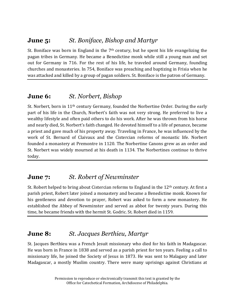#### **June 5:** *St. Boniface, Bishop and Martyr*

St. Boniface was born in England in the  $7<sup>th</sup>$  century, but he spent his life evangelizing the pagan tribes in Germany. He became a Benedictine monk while still a young man and set out for Germany in 716. For the rest of his life, he traveled around Germany, founding churches and monasteries. In 754, Boniface was preaching and baptizing in Frisia when he was attacked and killed by a group of pagan soldiers. St. Boniface is the patron of Germany.

#### **June 6:** *St. Norbert, Bishop*

St. Norbert, born in 11th century Germany, founded the Norbertine Order. During the early part of his life in the Church, Norbert's faith was not very strong. He preferred to live a wealthy lifestyle and often paid others to do his work. After he was thrown from his horse and nearly died, St. Norbert's faith changed. He devoted himself to a life of penance, became a priest and gave much of his property away. Traveling in France, he was influenced by the work of St. Bernard of Claivaux and the Cistercian reforms of monastic life. Norbert founded a monastery at Premontre in 1120. The Norbertine Canons grew as an order and St. Norbert was widely mourned at his death in 1134. The Norbertines continue to thrive today.

#### **June 7:** *St. Robert of Newminster*

St. Robert helped to bring about Cistercian reforms to England in the 12<sup>th</sup> century. At first a parish priest, Robert later joined a monastery and became a Benedictine monk. Known for his gentleness and devotion to prayer, Robert was asked to form a new monastery. He established the Abbey of Newminster and served as abbot for twenty years. During this time, he became friends with the hermit St. Godric. St. Robert died in 1159.

#### **June 8:** *St. Jacques Berthieu, Martyr*

St. Jacques Berthieu was a French Jesuit missionary who died for his faith in Madagascar. He was born in France in 1838 and served as a parish priest for ten years. Feeling a call to missionary life, he joined the Society of Jesus in 1873. He was sent to Malagasy and later Madagascar, a mostly Muslim country. There were many uprisings against Christians at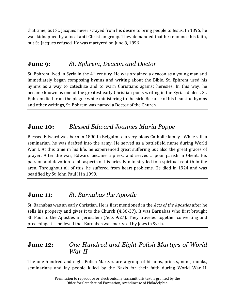that time, but St. Jacques never strayed from his desire to bring people to Jesus. In 1896, he was kidnapped by a local anti-Christian group. They demanded that he renounce his faith, but St. Jacques refused. He was martyred on June 8, 1896.

#### **June 9**: *St. Ephrem, Deacon and Doctor*

St. Ephrem lived in Syria in the 4th century. He was ordained a deacon as a young man and immediately began composing hymns and writing about the Bible. St. Ephrem used his hymns as a way to catechize and to warn Christians against heresies. In this way, he became known as one of the greatest early Christian poets writing in the Syriac dialect. St. Ephrem died from the plague while ministering to the sick. Because of his beautiful hymns and other writings, St. Ephrem was named a Doctor of the Church.

### **June 10:** *Blessed Edward Joannes Maria Poppe*

Blessed Edward was born in 1890 in Belguim to a very pious Catholic family. While still a seminarian, he was drafted into the army. He served as a battlefield nurse during World War I. At this time in his life, he experienced great suffering but also the great graces of prayer. After the war, Edward became a priest and served a poor parish in Ghent. His passion and devotion to all aspects of his priestly ministry led to a spiritual rebirth in the area. Throughout all of this, he suffered from heart problems. He died in 1924 and was beatified by St. John Paul II in 1999.

#### **June 11**: *St. Barnabas the Apostle*

St. Barnabas was an early Christian. He is first mentioned in the *Acts of the Apostles* after he sells his property and gives it to the Church (4:36-37). It was Barnabas who first brought St. Paul to the Apostles in Jerusalem (Acts 9:27). They traveled together converting and preaching. It is believed that Barnabas was martyred by Jews in Syria.

#### **June 12:** *One Hundred and Eight Polish Martyrs of World War II*

The one hundred and eight Polish Martyrs are a group of bishops, priests, nuns, monks, seminarians and lay people killed by the Nazis for their faith during World War II.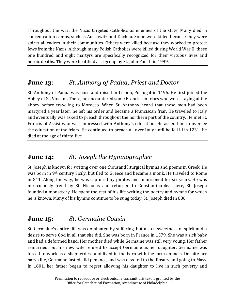Throughout the war, the Nazis targeted Catholics as enemies of the state. Many died in concentration camps, such as Auschwitz and Dachau. Some were killed because they were spiritual leaders in their communities. Others were killed because they worked to protect Jews from the Nazis. Although many Polish Catholics were killed during World War II, these one hundred and eight martyrs are specifically recognized for their virtuous lives and heroic deaths. They were beatified as a group by St. John Paul II in 1999.

# **June 13**: *St. Anthony of Padua, Priest and Doctor*

St. Anthony of Padua was born and raised in Lisbon, Portugal in 1195. He first joined the Abbey of St. Vincent. There, he encountered some Franciscan friars who were staying at the abbey before traveling to Morocco. When St. Anthony heard that these men had been martyred a year later, he left his order and became a Franciscan friar. He traveled to Italy and eventually was asked to preach throughout the northern part of the country. He met St. Francis of Assisi who was impressed with Anthony's education. He asked him to oversee the education of the friars. He continued to preach all over Italy until he fell ill in 1231. He died at the age of thirty-five.

### **June 14:** *St. Joseph the Hymnographer*

St. Joseph is known for writing over one thousand liturgical hymns and poems in Greek. He was born in 9th century Sicily, but fled to Greece and became a monk. He traveled to Rome in 841. Along the way, he was captured by pirates and imprisoned for six years. He was miraculously freed by St. Nicholas and returned to Constantinople. There, St. Joseph founded a monastery. He spent the rest of his life writing the poetry and hymns for which he is known. Many of his hymns continue to be sung today. St. Joseph died in 886.

# **June 15:** *St. Germaine Cousin*

St. Germaine's entire life was dominated by suffering, but also a sweetness of spirit and a desire to serve God in all that she did. She was born in France in 1579. She was a sick baby and had a deformed hand. Her mother died while Germaine was still very young. Her father remarried, but his new wife refused to accept Germaine as her daughter. Germaine was forced to work as a shepherdess and lived in the barn with the farm animals. Despite her harsh life, Germaine fasted, did penance, and was devoted to the Rosary and going to Mass. In 1601, her father began to regret allowing his daughter to live in such poverty and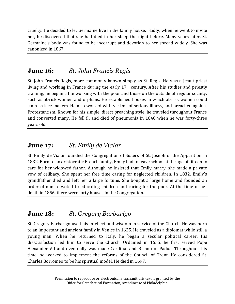cruelty. He decided to let Germaine live in the family house. Sadly, when he went to invite her, he discovered that she had died in her sleep the night before. Many years later, St. Germaine's body was found to be incorrupt and devotion to her spread widely. She was canonized in 1867.

# **June 16:** *St. John Francis Regis*

St. John Francis Regis, more commonly known simply as St. Regis. He was a Jesuit priest living and working in France during the early 17th century. After his studies and priestly training, he began a life working with the poor and those on the outside of regular society, such as at-risk women and orphans. He established houses in which at-risk women could train as lace makers. He also worked with victims of serious illness, and preached against Protestantism. Known for his simple, direct preaching style, he traveled throughout France and converted many. He fell ill and died of pneumonia in 1640 when he was forty-three years old.

# **June 17:** *St. Emily de Vialar*

St. Emily de Vialar founded the Congregation of Sisters of St. Joseph of the Apparition in 1832. Born to an aristocratic French family, Emily had to leave school at the age of fifteen to care for her widowed father. Although he insisted that Emily marry, she made a private vow of celibacy. She spent her free time caring for neglected children. In 1832, Emily's grandfather died and left her a large fortune. She bought a large home and founded an order of nuns devoted to educating children and caring for the poor. At the time of her death in 1856, there were forty houses in the Congregation.

# **June 18:** *St. Gregory Barbarigo*

St. Gregory Barbarigo used his intellect and wisdom in service of the Church. He was born to an important and ancient family in Venice in 1625. He traveled as a diplomat while still a young man. When he returned to Italy, he began a secular political career. His dissatisfaction led him to serve the Church. Ordained in 1655, he first served Pope Alexander VII and eventually was made Cardinal and Bishop of Padua. Throughout this time, he worked to implement the reforms of the Council of Trent. He considered St. Charles Borromeo to be his spiritual model. He died in 1697.